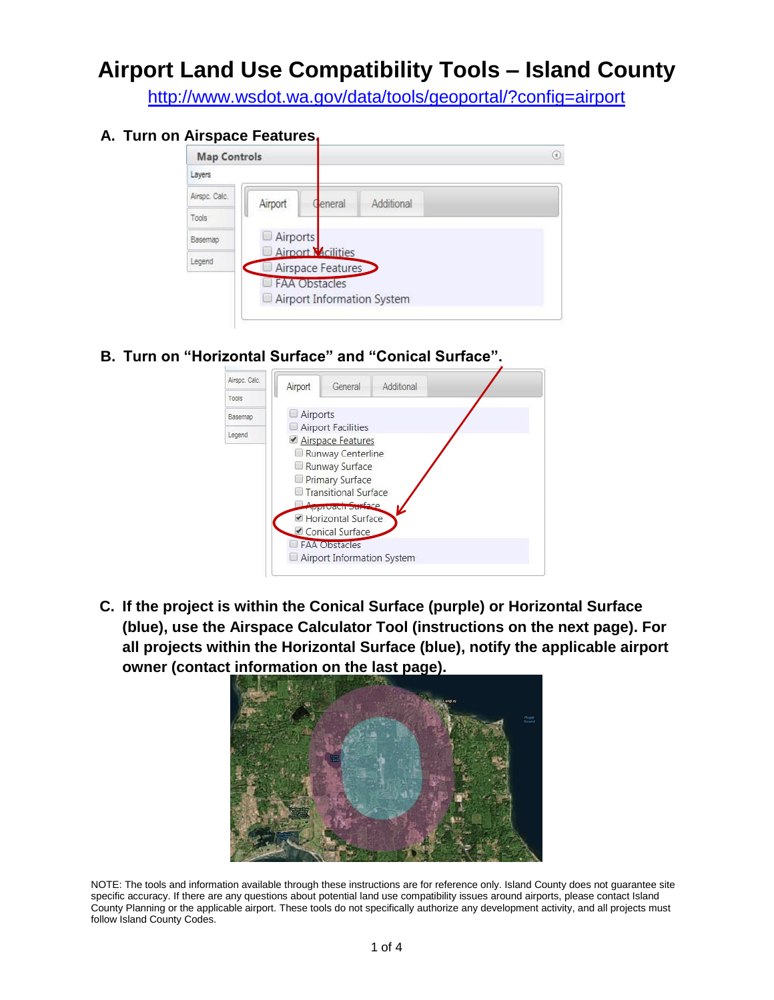## **Airport Land Use Compatibility Tools – Island County**

<http://www.wsdot.wa.gov/data/tools/geoportal/?config=airport>

### **A. Turn on Airspace Features.**

| <b>Map Controls</b> |                                           |        |                            | G. |  |
|---------------------|-------------------------------------------|--------|----------------------------|----|--|
| Layers              |                                           |        |                            |    |  |
| Airspc. Calc.       | Airport                                   | eneral | Additional                 |    |  |
| Tools               |                                           |        |                            |    |  |
| Basemap             | Airports                                  |        |                            |    |  |
| Legend              | Airport Mcilities                         |        |                            |    |  |
|                     | Airspace Features<br><b>FAA Obstacles</b> |        |                            |    |  |
|                     |                                           |        |                            |    |  |
|                     |                                           |        | Airport Information System |    |  |

**B. Turn on "Horizontal Surface" and "Conical Surface".**



**C. If the project is within the Conical Surface (purple) or Horizontal Surface (blue), use the Airspace Calculator Tool (instructions on the next page). For all projects within the Horizontal Surface (blue), notify the applicable airport owner (contact information on the last page).**



NOTE: The tools and information available through these instructions are for reference only. Island County does not guarantee site specific accuracy. If there are any questions about potential land use compatibility issues around airports, please contact Island County Planning or the applicable airport. These tools do not specifically authorize any development activity, and all projects must follow Island County Codes.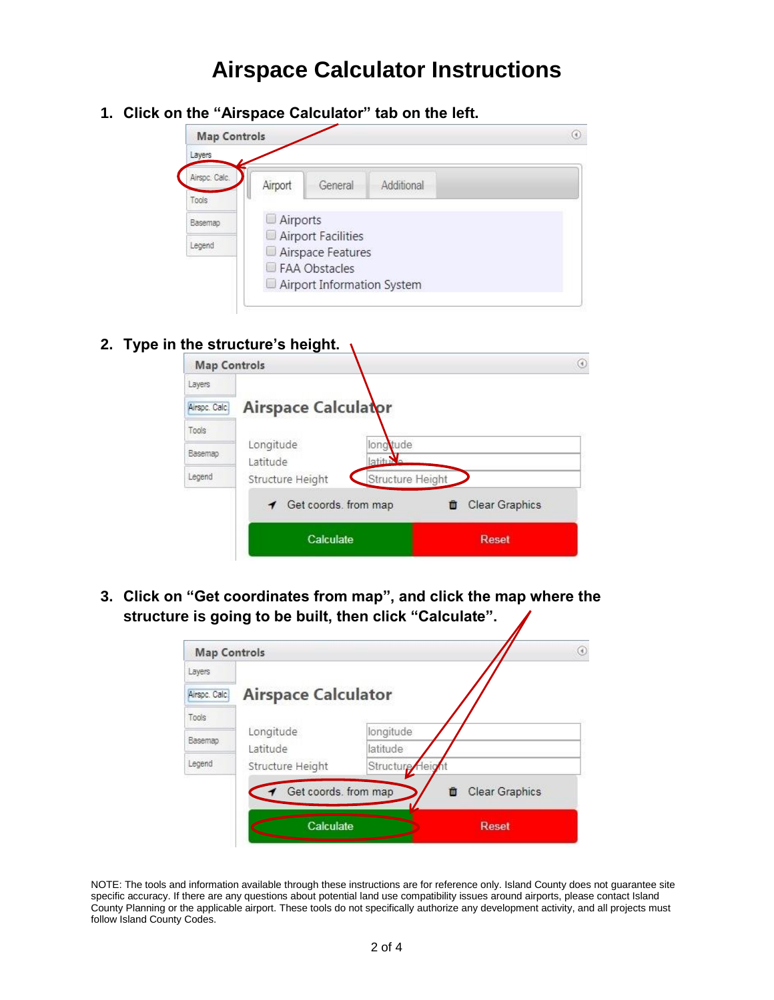## **Airspace Calculator Instructions**

**1. Click on the "Airspace Calculator" tab on the left.**



### **2. Type in the structure's height.**

| <b>Map Controls</b> |                  | C                                                        |  |
|---------------------|------------------|----------------------------------------------------------|--|
|                     |                  |                                                          |  |
|                     |                  |                                                          |  |
|                     |                  |                                                          |  |
| Latitude            | atitu Mo         |                                                          |  |
| Structure Height    | Structure Height |                                                          |  |
|                     |                  | Clear Graphics                                           |  |
| Calculate           |                  | <b>Reset</b>                                             |  |
|                     | Longitude        | Airspace Calculator<br>long tude<br>Get coords. from map |  |

**3. Click on "Get coordinates from map", and click the map where the structure is going to be built, then click "Calculate".**

| <b>Map Controls</b> |                            |                         | ⊛              |  |  |  |
|---------------------|----------------------------|-------------------------|----------------|--|--|--|
| Layers              |                            |                         |                |  |  |  |
| Airspc. Calc.       | <b>Airspace Calculator</b> |                         |                |  |  |  |
| Tools               |                            |                         |                |  |  |  |
| Basemap             | Longitude                  | longitude               |                |  |  |  |
|                     | Latitude                   | latitude                |                |  |  |  |
| Legend              | Structure Height           | <b>Structure</b><br>elo |                |  |  |  |
|                     | Get coords. from map       | m                       | Clear Graphics |  |  |  |
|                     | Calculate                  |                         | <b>Reset</b>   |  |  |  |

NOTE: The tools and information available through these instructions are for reference only. Island County does not guarantee site specific accuracy. If there are any questions about potential land use compatibility issues around airports, please contact Island County Planning or the applicable airport. These tools do not specifically authorize any development activity, and all projects must follow Island County Codes.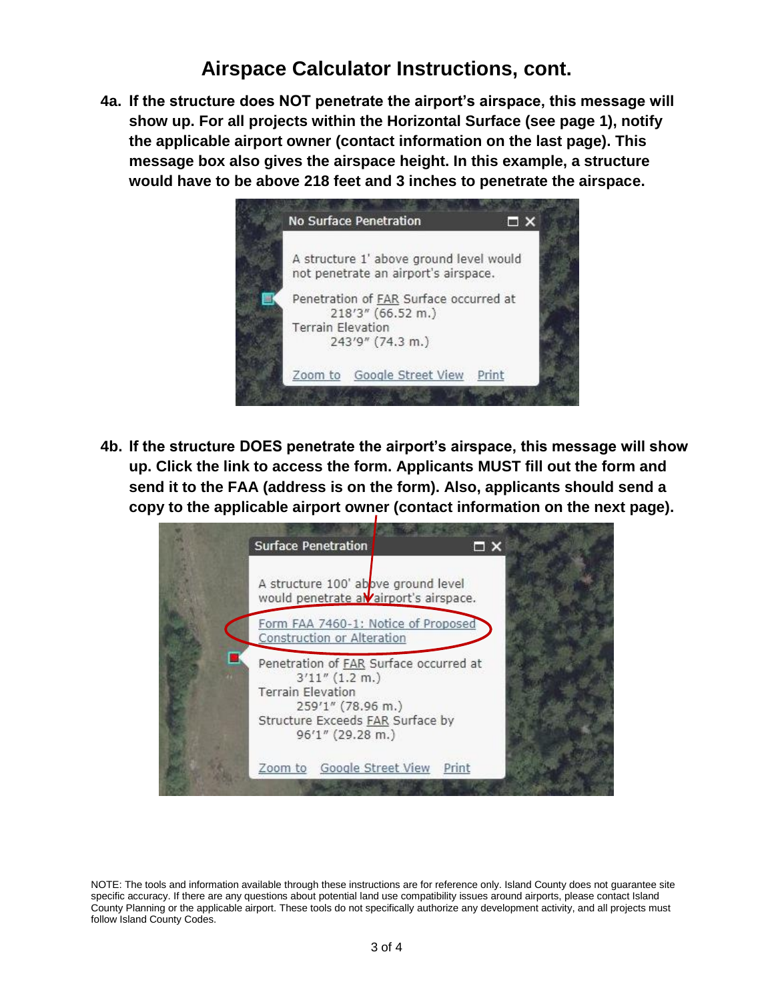### **Airspace Calculator Instructions, cont.**

**4a. If the structure does NOT penetrate the airport's airspace, this message will show up. For all projects within the Horizontal Surface (see page 1), notify the applicable airport owner (contact information on the last page). This message box also gives the airspace height. In this example, a structure would have to be above 218 feet and 3 inches to penetrate the airspace.** 



**4b. If the structure DOES penetrate the airport's airspace, this message will show up. Click the link to access the form. Applicants MUST fill out the form and send it to the FAA (address is on the form). Also, applicants should send a copy to the applicable airport owner (contact information on the next page).**



NOTE: The tools and information available through these instructions are for reference only. Island County does not guarantee site specific accuracy. If there are any questions about potential land use compatibility issues around airports, please contact Island County Planning or the applicable airport. These tools do not specifically authorize any development activity, and all projects must follow Island County Codes.